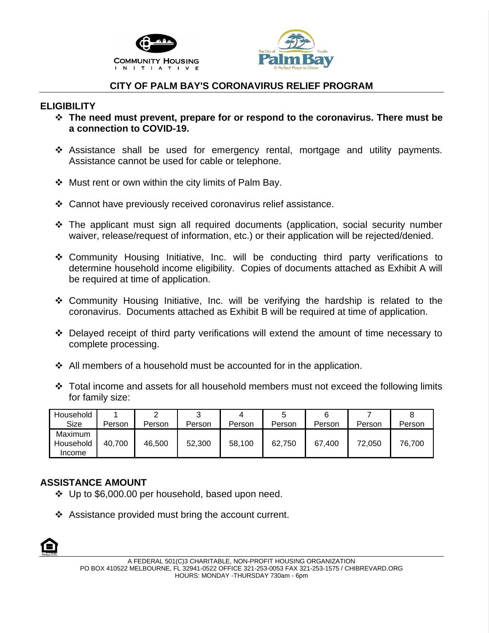



### **CITY OF PALM BAY'S CORONAVIRUS RELIEF PROGRAM**

#### **ELIGIBILITY**

- ❖ **The need must prevent, prepare for or respond to the coronavirus. There must be a connection to COVID-19.**
- ❖ Assistance shall be used for emergency rental, mortgage and utility payments. Assistance cannot be used for cable or telephone.
- ❖ Must rent or own within the city limits of Palm Bay.
- ❖ Cannot have previously received coronavirus relief assistance.
- ❖ The applicant must sign all required documents (application, social security number waiver, release/request of information, etc.) or their application will be rejected/denied.
- ❖ Community Housing Initiative, Inc. will be conducting third party verifications to determine household income eligibility. Copies of documents attached as Exhibit A will be required at time of application.
- ❖ Community Housing Initiative, Inc. will be verifying the hardship is related to the coronavirus. Documents attached as Exhibit B will be required at time of application.
- ❖ Delayed receipt of third party verifications will extend the amount of time necessary to complete processing.
- ❖ All members of a household must be accounted for in the application.
- ❖ Total income and assets for all household members must not exceed the following limits for family size:

| Household                      |        |        |        |        |        |        |        |        |
|--------------------------------|--------|--------|--------|--------|--------|--------|--------|--------|
| Size                           | Person | Person | Person | Person | Person | Person | Person | Person |
| Maximum<br>Household<br>Income | 40.700 | 46,500 | 52,300 | 58,100 | 62,750 | 67.400 | 72.050 | 76,700 |

#### **ASSISTANCE AMOUNT**

- ❖ Up to \$6,000.00 per household, based upon need.
- ❖ Assistance provided must bring the account current.

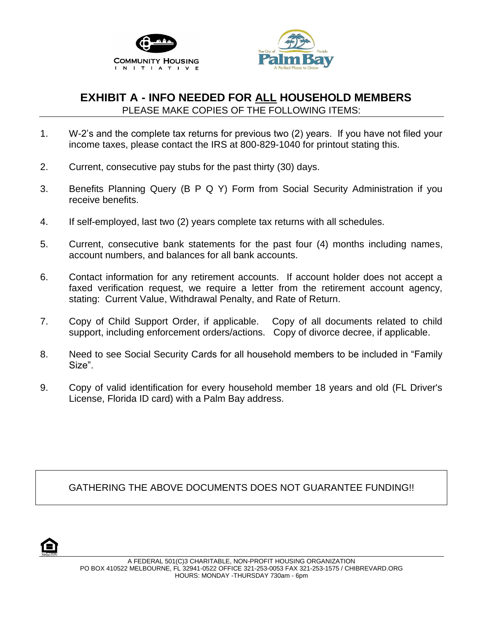



## **EXHIBIT A - INFO NEEDED FOR ALL HOUSEHOLD MEMBERS** PLEASE MAKE COPIES OF THE FOLLOWING ITEMS:

- 1. W-2's and the complete tax returns for previous two (2) years. If you have not filed your income taxes, please contact the IRS at 800-829-1040 for printout stating this.
- 2. Current, consecutive pay stubs for the past thirty (30) days.
- 3. Benefits Planning Query (B P Q Y) Form from Social Security Administration if you receive benefits.
- 4. If self-employed, last two (2) years complete tax returns with all schedules.
- 5. Current, consecutive bank statements for the past four (4) months including names, account numbers, and balances for all bank accounts.
- 6. Contact information for any retirement accounts. If account holder does not accept a faxed verification request, we require a letter from the retirement account agency, stating: Current Value, Withdrawal Penalty, and Rate of Return.
- 7. Copy of Child Support Order, if applicable. Copy of all documents related to child support, including enforcement orders/actions. Copy of divorce decree, if applicable.
- 8. Need to see Social Security Cards for all household members to be included in "Family Size".
- 9. Copy of valid identification for every household member 18 years and old (FL Driver's License, Florida ID card) with a Palm Bay address.

GATHERING THE ABOVE DOCUMENTS DOES NOT GUARANTEE FUNDING!!